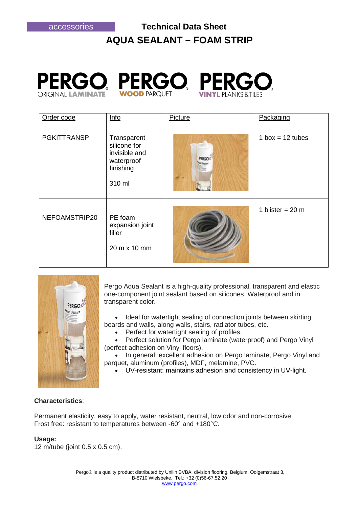







| Order code         | Info                                                                              | Picture | Packaging                  |
|--------------------|-----------------------------------------------------------------------------------|---------|----------------------------|
| <b>PGKITTRANSP</b> | Transparent<br>silicone for<br>invisible and<br>waterproof<br>finishing<br>310 ml |         | 1 box = $12$ tubes         |
| NEFOAMSTRIP20      | PE foam<br>expansion joint<br>filler<br>20 m x 10 mm                              |         | 1 blister = $20 \text{ m}$ |



Pergo Aqua Sealant is a high-quality professional, transparent and elastic one-component joint sealant based on silicones. Waterproof and in transparent color.

• Ideal for watertight sealing of connection joints between skirting boards and walls, along walls, stairs, radiator tubes, etc.

• Perfect for watertight sealing of profiles.

Perfect solution for Pergo laminate (waterproof) and Pergo Vinyl (perfect adhesion on Vinyl floors).

• In general: excellent adhesion on Pergo laminate, Pergo Vinyl and parquet, aluminum (profiles), MDF, melamine, PVC.

• UV-resistant: maintains adhesion and consistency in UV-light.

## **Characteristics**:

Permanent elasticity, easy to apply, water resistant, neutral, low odor and non-corrosive. Frost free: resistant to temperatures between -60° and +180°C.

## **Usage:**

12 m/tube (joint 0.5 x 0.5 cm).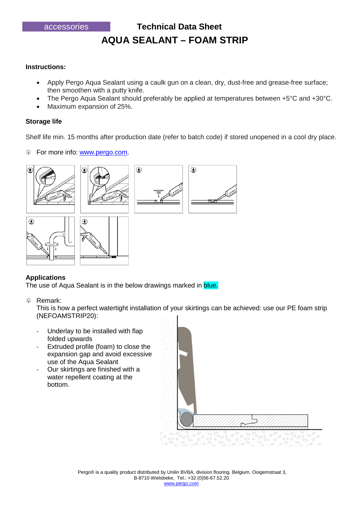### **Instructions:**

- Apply Pergo Aqua Sealant using a caulk gun on a clean, dry, dust-free and grease-free surface; then smoothen with a putty knife.
- The Pergo Agua Sealant should preferably be applied at temperatures between +5°C and +30°C.
- Maximum expansion of 25%.

## **Storage life**

Shelf life min. 15 months after production date (refer to batch code) if stored unopened in a cool dry place.

宓 For more info: [www.pergo.com.](http://www.pergo.com/)



## **Applications**

The use of Aqua Sealant is in the below drawings marked in **blue.** 

#### 宓 Remark:

This is how a perfect watertight installation of your skirtings can be achieved: use our PE foam strip (NEFOAMSTRIP20):

- Underlay to be installed with flap folded upwards
- Extruded profile (foam) to close the expansion gap and avoid excessive use of the Aqua Sealant
- Our skirtings are finished with a water repellent coating at the bottom.

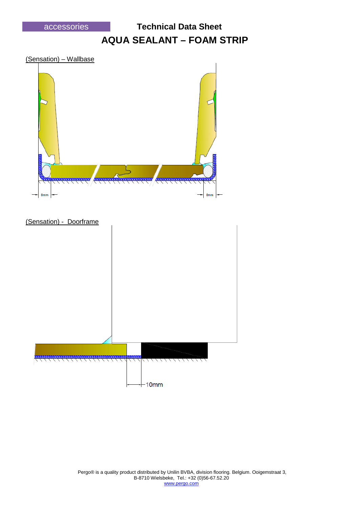# (Sensation) – Wallbase



# (Sensation) - Doorframe

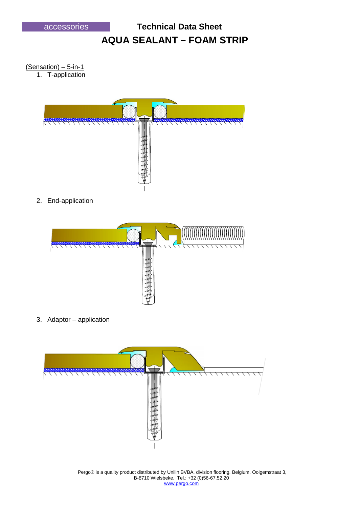<u>(Sensation) – 5-in-1</u> 1. T-application



2. End-application



3. Adaptor – application